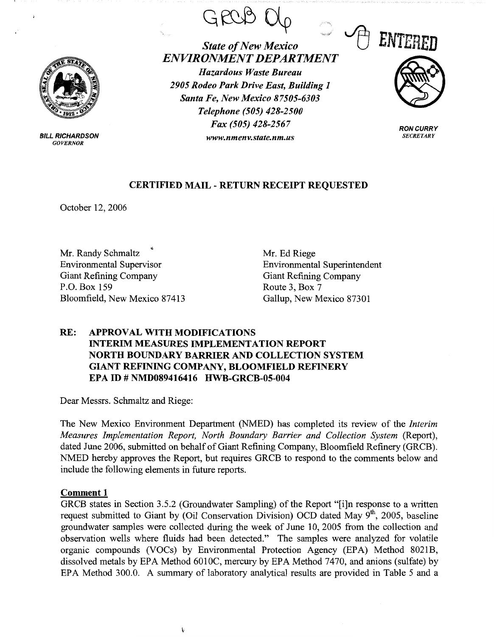

BILL RICHARDSON *GOVERNOR* 

GRCG



*State of New Mexico ENVIRONMENT DEPARTMENT Hazardous Waste Bureau 2905 Rodeo Park Drive East, Building 1 Santa Fe, New Mexico 87505-6303 Telephone (505) 428-2500 Fax (505) 428-2567 www.nmenv.state.nm.us* 



**RON CURRY**  *SECRETARY* 

## **CERTIFIED MAIL** - **RETURN RECEIPT REQUESTED**

October 12, 2006

Mr. Randy Schmaltz Environmental Supervisor Giant Refining Company P.O. Box 159 Bloomfield, New Mexico 87413 Mr. Ed Riege Environmental Superintendent Giant Refining Company Route 3, Box 7 Gallup, New Mexico 87301

# **RE: APPROVAL WITH MODIFICATIONS INTERIM MEASURES IMPLEMENTATION REPORT NORTH BOUNDARY BARRIER AND COLLECTION SYSTEM GIANT REFINING COMPANY, BLOOMFIELD REFINERY EPA ID# NMD089416416 HWB-GRCB-05-004**

Dear Messrs. Schmaltz and Riege:

The New Mexico Environment Department (NMED) has completed its review of the *Interim Measures Implementation Report, North Boundary Barrier and Collection System (Report),* dated June 2006, submitted on behalf of Giant Refining Company, Bloomfield Refinery (GRCB). NMED hereby approves the Report, but requires GRCB to respond to the comments below and include the following elements in future reports.

### **Comment 1**

GRCB states in Section 3.5.2 (Groundwater Sampling) of the Report "[i]n response to a written request submitted to Giant by (Oil Conservation Division) OCD dated May 9<sup>th</sup>, 2005, baseline groundwater samples were collected during the week of June 10, 2005 from the collection and observation wells where fluids had been detected." The samples were analyzed for volatile organic compounds (VOCs) by Environmental Protection Agency (EPA) Method 8021B, dissolved metals by EPA Method 6010C, mercury by EPA Method 7470, and anions (sulfate) by EPA Method 300.0. A summary of laboratory analytical results are provided in Table 5 and a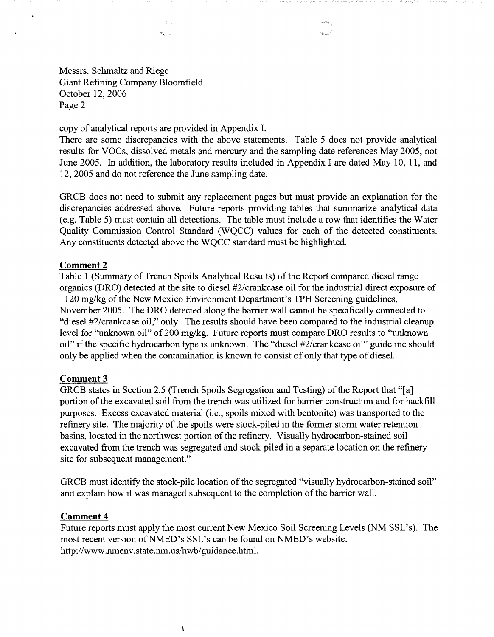Messrs. Schmaltz and Riege Giant Refining Company Bloomfield October 12, 2006 Page 2

copy of analytical reports are provided in Appendix I.

 $_{\omega}$  , we  $_{\omega}$ **Belleville Comment** 

There are some discrepancies with the above statements. Table 5 does not provide analytical results for VOCs, dissolved metals and mercury and the sampling date references May 2005, not June 2005. In addition, the laboratory results included in Appendix I are dated May 10, 11, and 12, 2005 and do not reference the June sampling date.

GRCB does not need to submit any replacement pages but must provide an explanation for the discrepancies addressed above. Future reports providing tables that summarize analytical data ( e.g. Table 5) must contain all detections. The table must include a row that identifies the Water Quality Commission Control Standard (WQCC) values for each of the detected constituents. Any constituents detected above the WQCC standard must be highlighted.

## **Comment 2**

 $\epsilon$ 

Table 1 (Summary of Trench Spoils Analytical Results) of the Report compared diesel range organics (DRO) detected at the site to diesel #2/crankcase oil for the industrial direct exposure of 1120 mg/kg of the New Mexico Environment Department's TPH Screening guidelines, November 2005. The DRO detected along the barrier wall cannot be specifically connected to "diesel #2/crankcase oil," only. The results should have been compared to the industrial cleanup level for "unknown oil" of 200 mg/kg. Future reports must compare DRO results to "unknown" oil" if the specific hydrocarbon type is unknown. The "diesel #2/crankcase oil" guideline should only be applied when the contamination is known to consist of only that type of diesel.

### **Comment3**

GRCB states in Section 2.5 (Trench Spoils Segregation and Testing) of the Report that "[a] portion of the excavated soil from the trench was utilized for barrier construction and for backfill purposes. Excess excavated material (i.e., spoils mixed with bentonite) was transported to the refinery site. The majority of the spoils were stock-piled in the former storm water retention basins, located in the northwest portion of the refinery. Visually hydrocarbon-stained soil excavated from the trench was segregated and stock-piled in a separate location on the refinery site for subsequent management."

GRCB must identify the stock-pile location of the segregated "visually hydrocarbon-stained soil" and explain how it was managed subsequent to the completion of the barrier wall.

#### **Comment4**

Future reports must apply the most current New Mexico Soil Screening Levels (NM SSL's). The most recent version of NMED's SSL's can be found on NMED's website: http://www.nmenv.state.nm.us/hwb/guidance.html.

\: